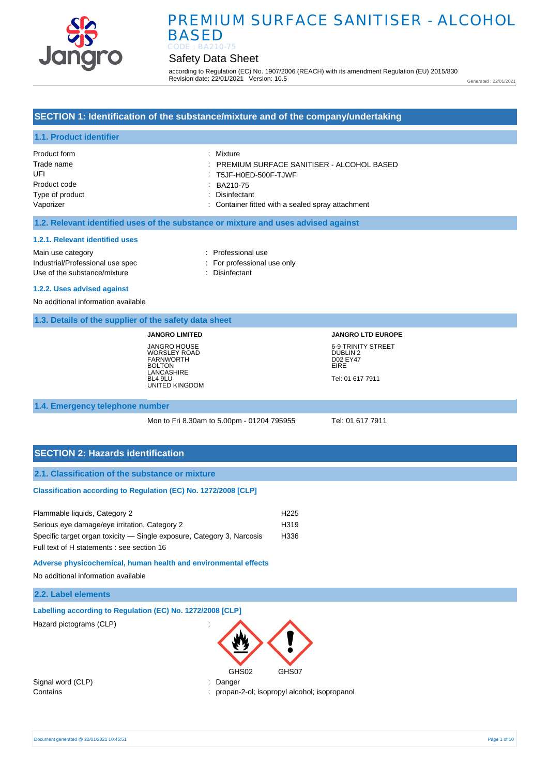

## Safety Data Sheet

according to Regulation (EC) No. 1907/2006 (REACH) with its amendment Regulation (EU) 2015/830 Revision date: 22/01/2021 Version: 10.5

Generated : 22/01/2021

## **SECTION 1: Identification of the substance/mixture and of the company/undertaking**

## **1.1. Product identifier**

| Product form    | : Mixture                                         |
|-----------------|---------------------------------------------------|
| Trade name      | PREMIUM SURFACE SANITISER - ALCOHOL BASED         |
| UFI             | $\therefore$ T5JF-H0ED-500F-TJWF                  |
| Product code    | BA210-75                                          |
| Type of product | : Disinfectant                                    |
| Vaporizer       | : Container fitted with a sealed spray attachment |

#### **1.2. Relevant identified uses of the substance or mixture and uses advised against**

#### **1.2.1. Relevant identified uses**

Main use category **interest and the COV** and the Professional use Industrial/Professional use spec : For professional use only Use of the substance/mixture : Disinfectant

### **1.2.2. Uses advised against**

No additional information available

## **1.3. Details of the supplier of the safety data sheet**

**JANGRO LIMITED** JANGRO HOUSE WORSLEY ROAD FARNWORTH BOLTON **LANCASHIRE** BL4 9LU UNITED KINGDOM **JANGRO LTD EUROPE** 6-9 TRINITY STREET DUBLIN 2 D02 EY47 EIRE Tel: 01 617 7911

#### **1.4. Emergency telephone number**

Mon to Fri 8.30am to 5.00pm - 01204 795955 Tel: 01 617 7911

## **SECTION 2: Hazards identification**

#### **2.1. Classification of the substance or mixture**

#### **Classification according to Regulation (EC) No. 1272/2008 [CLP]**

| Flammable liquids, Category 2                                          | H <sub>225</sub> |
|------------------------------------------------------------------------|------------------|
| Serious eye damage/eye irritation, Category 2                          | H319             |
| Specific target organ toxicity — Single exposure, Category 3, Narcosis | H336             |
| Full text of H statements : see section 16                             |                  |

**Adverse physicochemical, human health and environmental effects**

No additional information available

#### **2.2. Label elements**

|  |  |  | Labelling according to Regulation (EC) No. 1272/2008 [CLP] |
|--|--|--|------------------------------------------------------------|
|  |  |  |                                                            |

Hazard pictograms (CLP) :



Signal word (CLP) : Danger

Contains : propan-2-ol; isopropyl alcohol; isopropanol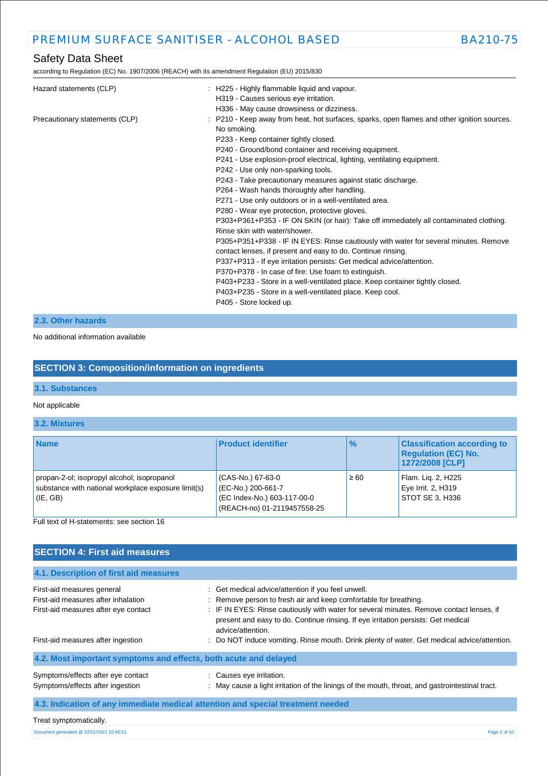according to Regulation (EC) No. 1907/2006 (REACH) with its amendment Regulation (EU) 2015/830

| Hazard statements (CLP)        | : H225 - Highly flammable liquid and vapour.<br>H319 - Causes serious eye irritation.<br>H336 - May cause drowsiness or dizziness.                                                                                                                                                                                                                                                                                                                                                                                                                                                                                                                                                                                                                                                                                                                                                                                                                                                                                                                                                                                                                    |
|--------------------------------|-------------------------------------------------------------------------------------------------------------------------------------------------------------------------------------------------------------------------------------------------------------------------------------------------------------------------------------------------------------------------------------------------------------------------------------------------------------------------------------------------------------------------------------------------------------------------------------------------------------------------------------------------------------------------------------------------------------------------------------------------------------------------------------------------------------------------------------------------------------------------------------------------------------------------------------------------------------------------------------------------------------------------------------------------------------------------------------------------------------------------------------------------------|
| Precautionary statements (CLP) | : P210 - Keep away from heat, hot surfaces, sparks, open flames and other ignition sources.<br>No smoking.<br>P233 - Keep container tightly closed.<br>P240 - Ground/bond container and receiving equipment.<br>P241 - Use explosion-proof electrical, lighting, ventilating equipment.<br>P242 - Use only non-sparking tools.<br>P243 - Take precautionary measures against static discharge.<br>P264 - Wash hands thoroughly after handling.<br>P271 - Use only outdoors or in a well-ventilated area.<br>P280 - Wear eye protection, protective gloves.<br>P303+P361+P353 - IF ON SKIN (or hair): Take off immediately all contaminated clothing.<br>Rinse skin with water/shower.<br>P305+P351+P338 - IF IN EYES: Rinse cautiously with water for several minutes. Remove<br>contact lenses, if present and easy to do. Continue rinsing.<br>P337+P313 - If eye irritation persists: Get medical advice/attention.<br>P370+P378 - In case of fire: Use foam to extinguish.<br>P403+P233 - Store in a well-ventilated place. Keep container tightly closed.<br>P403+P235 - Store in a well-ventilated place. Keep cool.<br>P405 - Store locked up. |

## **2.3. Other hazards**

### No additional information available

## **SECTION 3: Composition/information on ingredients**

### **3.1. Substances**

### Not applicable

### **3.2. Mixtures**

| <b>Name</b>                                                                                                        | <b>Product identifier</b>                                                                             | $\frac{1}{2}$ | <b>Classification according to</b><br><b>Regulation (EC) No.</b><br>1272/2008 [CLP] |
|--------------------------------------------------------------------------------------------------------------------|-------------------------------------------------------------------------------------------------------|---------------|-------------------------------------------------------------------------------------|
| propan-2-ol; isopropyl alcohol; isopropanol<br>substance with national workplace exposure limit(s)<br>$ $ (IE, GB) | (CAS-No.) 67-63-0<br>(EC-No.) 200-661-7<br>(EC Index-No.) 603-117-00-0<br>(REACH-no) 01-2119457558-25 | $\geq 60$     | Flam. Lig. 2, H225<br>Eye Irrit. 2, H319<br>STOT SE 3. H336                         |

Full text of H-statements: see section 16

## **SECTION 4: First aid measures**

| 4.1. Description of first aid measures                                                                                                          |                                                                                                                                                                                                                                                                                                                                                                                                                             |  |
|-------------------------------------------------------------------------------------------------------------------------------------------------|-----------------------------------------------------------------------------------------------------------------------------------------------------------------------------------------------------------------------------------------------------------------------------------------------------------------------------------------------------------------------------------------------------------------------------|--|
| First-aid measures general<br>First-aid measures after inhalation<br>First-aid measures after eye contact<br>First-aid measures after ingestion | : Get medical advice/attention if you feel unwell.<br>: Remove person to fresh air and keep comfortable for breathing.<br>: IF IN EYES: Rinse cautiously with water for several minutes. Remove contact lenses, if<br>present and easy to do. Continue rinsing. If eye irritation persists: Get medical<br>advice/attention.<br>: Do NOT induce vomiting. Rinse mouth. Drink plenty of water. Get medical advice/attention. |  |
| 4.2. Most important symptoms and effects, both acute and delayed                                                                                |                                                                                                                                                                                                                                                                                                                                                                                                                             |  |
| Symptoms/effects after eye contact<br>Symptoms/effects after ingestion                                                                          | : Causes eye irritation.<br>: May cause a light irritation of the linings of the mouth, throat, and gastrointestinal tract.                                                                                                                                                                                                                                                                                                 |  |
| 4.3. Indication of any immediate medical attention and special treatment needed                                                                 |                                                                                                                                                                                                                                                                                                                                                                                                                             |  |

#### Treat symptomatically.

Document generated @ 22/01/2021 10:45:51 Page 2 of 10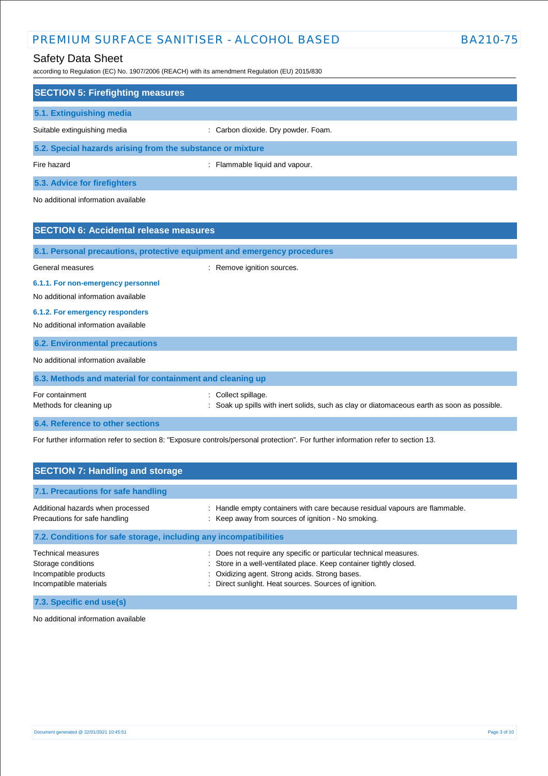## Safety Data Sheet

according to Regulation (EC) No. 1907/2006 (REACH) with its amendment Regulation (EU) 2015/830

| <b>SECTION 5: Firefighting measures</b>                                  |                                                                                                                |  |  |
|--------------------------------------------------------------------------|----------------------------------------------------------------------------------------------------------------|--|--|
|                                                                          |                                                                                                                |  |  |
| 5.1. Extinguishing media                                                 |                                                                                                                |  |  |
| Suitable extinguishing media                                             | : Carbon dioxide. Dry powder. Foam.                                                                            |  |  |
| 5.2. Special hazards arising from the substance or mixture               |                                                                                                                |  |  |
| Fire hazard                                                              | : Flammable liquid and vapour.                                                                                 |  |  |
| 5.3. Advice for firefighters                                             |                                                                                                                |  |  |
| No additional information available                                      |                                                                                                                |  |  |
| <b>SECTION 6: Accidental release measures</b>                            |                                                                                                                |  |  |
| 6.1. Personal precautions, protective equipment and emergency procedures |                                                                                                                |  |  |
| General measures                                                         | : Remove ignition sources.                                                                                     |  |  |
| 6.1.1. For non-emergency personnel                                       |                                                                                                                |  |  |
| No additional information available                                      |                                                                                                                |  |  |
| 6.1.2. For emergency responders                                          |                                                                                                                |  |  |
| No additional information available                                      |                                                                                                                |  |  |
| <b>6.2. Environmental precautions</b>                                    |                                                                                                                |  |  |
| No additional information available                                      |                                                                                                                |  |  |
| 6.3. Methods and material for containment and cleaning up                |                                                                                                                |  |  |
| For containment<br>Methods for cleaning up                               | Collect spillage.<br>Soak up spills with inert solids, such as clay or diatomaceous earth as soon as possible. |  |  |

**6.4. Reference to other sections**

For further information refer to section 8: "Exposure controls/personal protection". For further information refer to section 13.

| <b>SECTION 7: Handling and storage</b>                                                             |                                                                                                                                                                                                                                                  |  |  |
|----------------------------------------------------------------------------------------------------|--------------------------------------------------------------------------------------------------------------------------------------------------------------------------------------------------------------------------------------------------|--|--|
| 7.1. Precautions for safe handling                                                                 |                                                                                                                                                                                                                                                  |  |  |
| Additional hazards when processed<br>Precautions for safe handling                                 | : Handle empty containers with care because residual vapours are flammable.<br>: Keep away from sources of ignition - No smoking.                                                                                                                |  |  |
| 7.2. Conditions for safe storage, including any incompatibilities                                  |                                                                                                                                                                                                                                                  |  |  |
| <b>Technical measures</b><br>Storage conditions<br>Incompatible products<br>Incompatible materials | : Does not require any specific or particular technical measures.<br>: Store in a well-ventilated place. Keep container tightly closed.<br>: Oxidizing agent. Strong acids. Strong bases.<br>Direct sunlight. Heat sources. Sources of ignition. |  |  |
| 7.3. Specific end use(s)                                                                           |                                                                                                                                                                                                                                                  |  |  |

No additional information available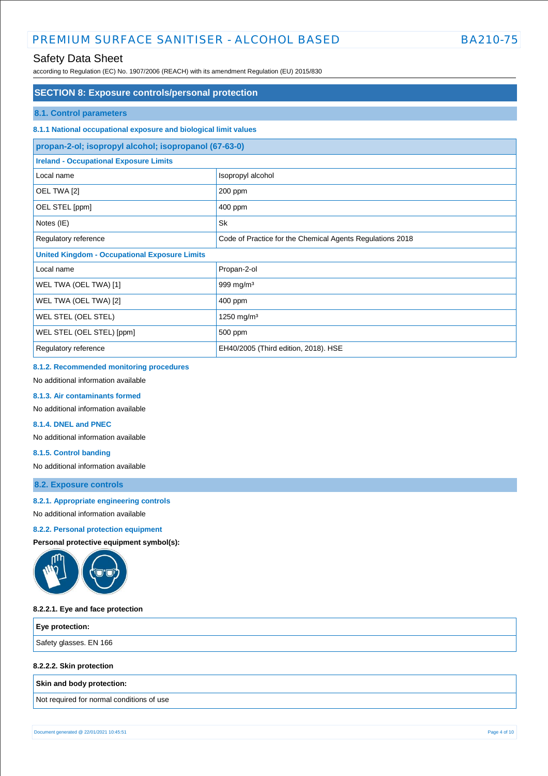## Safety Data Sheet

according to Regulation (EC) No. 1907/2006 (REACH) with its amendment Regulation (EU) 2015/830

## **SECTION 8: Exposure controls/personal protection**

#### **8.1. Control parameters**

### **8.1.1 National occupational exposure and biological limit values**

| propan-2-ol; isopropyl alcohol; isopropanol (67-63-0)                             |                                      |  |
|-----------------------------------------------------------------------------------|--------------------------------------|--|
| <b>Ireland - Occupational Exposure Limits</b>                                     |                                      |  |
| Local name                                                                        | Isopropyl alcohol                    |  |
| OEL TWA [2]                                                                       | 200 ppm                              |  |
| OEL STEL [ppm]                                                                    | 400 ppm                              |  |
| Notes (IE)                                                                        | <b>Sk</b>                            |  |
| Code of Practice for the Chemical Agents Regulations 2018<br>Regulatory reference |                                      |  |
| <b>United Kingdom - Occupational Exposure Limits</b>                              |                                      |  |
| Local name                                                                        | Propan-2-ol                          |  |
| WEL TWA (OEL TWA) [1]                                                             | 999 mg/m $3$                         |  |
| WEL TWA (OEL TWA) [2]                                                             | 400 ppm                              |  |
| WEL STEL (OEL STEL)                                                               | 1250 mg/m <sup>3</sup>               |  |
| WEL STEL (OEL STEL) [ppm]                                                         | 500 ppm                              |  |
| Regulatory reference                                                              | EH40/2005 (Third edition, 2018). HSE |  |

#### **8.1.2. Recommended monitoring procedures**

No additional information available

#### **8.1.3. Air contaminants formed**

No additional information available

#### **8.1.4. DNEL and PNEC**

No additional information available

#### **8.1.5. Control banding**

No additional information available

## **8.2. Exposure controls**

#### **8.2.1. Appropriate engineering controls**

No additional information available

#### **8.2.2. Personal protection equipment**

**Personal protective equipment symbol(s):**



#### **8.2.2.1. Eye and face protection**

| $\epsilon$ Eye protection: |  |
|----------------------------|--|
| Safety glasses. EN 166     |  |

#### **8.2.2.2. Skin protection**

**Skin and body protection:**

Not required for normal conditions of use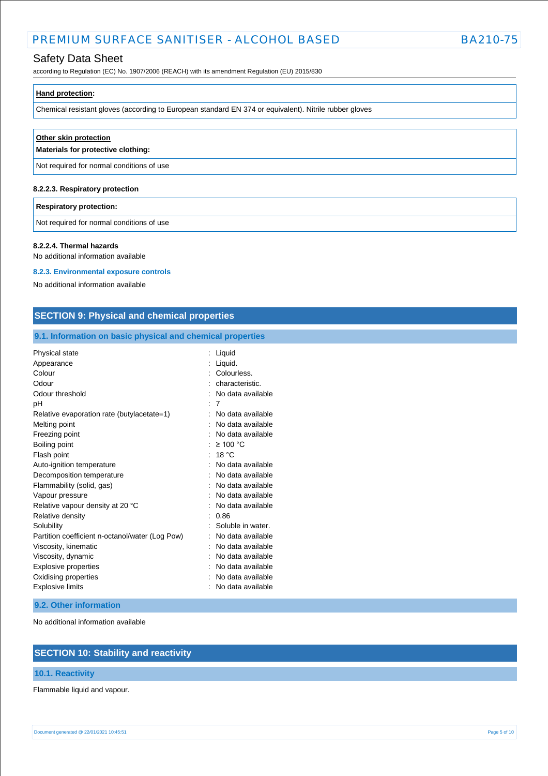## Safety Data Sheet

according to Regulation (EC) No. 1907/2006 (REACH) with its amendment Regulation (EU) 2015/830

| <b>Hand protection:</b> |  |  |
|-------------------------|--|--|
|                         |  |  |

Chemical resistant gloves (according to European standard EN 374 or equivalent). Nitrile rubber gloves

| Other skin protection<br>Materials for protective clothing: |  |
|-------------------------------------------------------------|--|
| Not required for normal conditions of use                   |  |
| 8.2.2.3. Respiratory protection                             |  |

#### **Respiratory protection:**

Not required for normal conditions of use

#### **8.2.2.4. Thermal hazards**

No additional information available

#### **8.2.3. Environmental exposure controls**

No additional information available

## **SECTION 9: Physical and chemical properties**

## **9.1. Information on basic physical and chemical properties**

| Physical state                                  | Liquid            |
|-------------------------------------------------|-------------------|
| Appearance                                      | Liquid.           |
| Colour                                          | Colourless.       |
| Odour                                           | characteristic.   |
| Odour threshold                                 | No data available |
| рH                                              | 7                 |
| Relative evaporation rate (butylacetate=1)      | No data available |
| Melting point                                   | No data available |
| Freezing point                                  | No data available |
| Boiling point                                   | $\geq 100$ °C     |
| Flash point                                     | 18 °C             |
| Auto-ignition temperature                       | No data available |
| Decomposition temperature                       | No data available |
| Flammability (solid, gas)                       | No data available |
| Vapour pressure                                 | No data available |
| Relative vapour density at 20 °C                | No data available |
| Relative density                                | 0.86              |
| Solubility                                      | Soluble in water. |
| Partition coefficient n-octanol/water (Log Pow) | No data available |
| Viscosity, kinematic                            | No data available |
| Viscosity, dynamic                              | No data available |
| <b>Explosive properties</b>                     | No data available |
| Oxidising properties                            | No data available |
| <b>Explosive limits</b>                         | No data available |

#### **9.2. Other information**

No additional information available

## **SECTION 10: Stability and reactivity**

## **10.1. Reactivity**

Flammable liquid and vapour.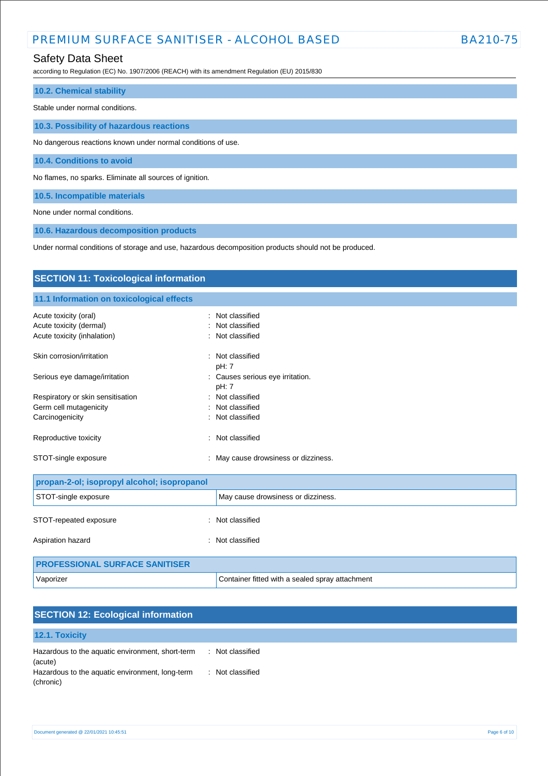## Safety Data Sheet

according to Regulation (EC) No. 1907/2006 (REACH) with its amendment Regulation (EU) 2015/830

| <b>10.2. Chemical stability</b>                              |
|--------------------------------------------------------------|
| Stable under normal conditions.                              |
| 10.3. Possibility of hazardous reactions                     |
| No dangerous reactions known under normal conditions of use. |
| 10.4. Conditions to avoid                                    |
| No flames, no sparks. Eliminate all sources of ignition.     |

**10.5. Incompatible materials**

None under normal conditions.

**10.6. Hazardous decomposition products**

Under normal conditions of storage and use, hazardous decomposition products should not be produced.

| <b>SECTION 11: Toxicological information</b> |                                                 |
|----------------------------------------------|-------------------------------------------------|
| 11.1 Information on toxicological effects    |                                                 |
| Acute toxicity (oral)                        | Not classified                                  |
| Acute toxicity (dermal)                      | Not classified                                  |
| Acute toxicity (inhalation)                  | Not classified                                  |
| Skin corrosion/irritation                    | Not classified<br>pH: 7                         |
| Serious eye damage/irritation                | : Causes serious eye irritation.<br>pH: 7       |
| Respiratory or skin sensitisation            | Not classified                                  |
| Germ cell mutagenicity                       | Not classified                                  |
| Carcinogenicity                              | Not classified                                  |
| Reproductive toxicity                        | Not classified                                  |
| STOT-single exposure                         | May cause drowsiness or dizziness.              |
| propan-2-ol; isopropyl alcohol; isopropanol  |                                                 |
| STOT-single exposure                         | May cause drowsiness or dizziness.              |
| STOT-repeated exposure                       | : Not classified                                |
| Aspiration hazard                            | Not classified<br>÷                             |
| <b>PROFESSIONAL SURFACE SANITISER</b>        |                                                 |
| Vaporizer                                    | Container fitted with a sealed spray attachment |

| <b>SECTION 12: Ecological information</b>                    |                  |  |
|--------------------------------------------------------------|------------------|--|
| 12.1. Toxicity                                               |                  |  |
| Hazardous to the aquatic environment, short-term<br>(acute)  | : Not classified |  |
| Hazardous to the aquatic environment, long-term<br>(chronic) | : Not classified |  |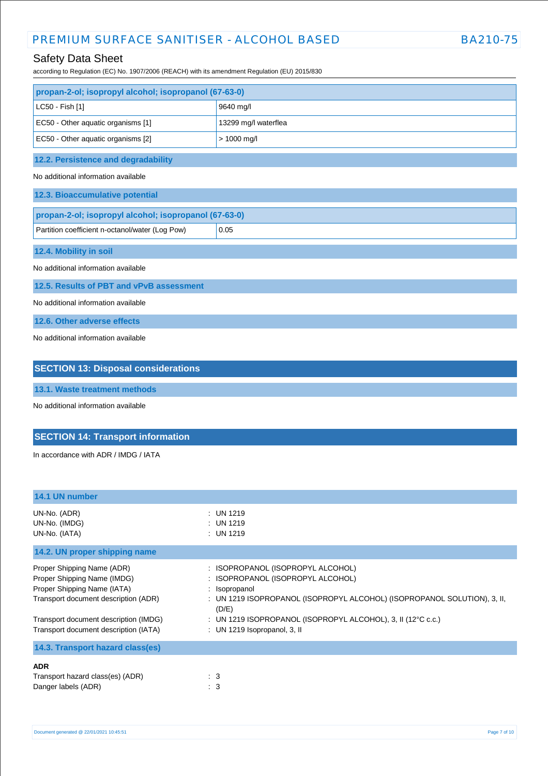## Safety Data Sheet

according to Regulation (EC) No. 1907/2006 (REACH) with its amendment Regulation (EU) 2015/830

| propan-2-ol; isopropyl alcohol; isopropanol (67-63-0) |                      |  |
|-------------------------------------------------------|----------------------|--|
| LC50 - Fish [1]                                       | 9640 mg/l            |  |
| EC50 - Other aquatic organisms [1]                    | 13299 mg/l waterflea |  |
| EC50 - Other aquatic organisms [2]                    | $> 1000$ mg/l        |  |
| 12.2. Persistence and degradability                   |                      |  |
| No additional information available                   |                      |  |
| 12.3. Bioaccumulative potential                       |                      |  |
| propan-2-ol; isopropyl alcohol; isopropanol (67-63-0) |                      |  |
| Partition coefficient n-octanol/water (Log Pow)       | 0.05                 |  |
| 12.4. Mobility in soil                                |                      |  |
| No additional information available                   |                      |  |
| 12.5. Results of PBT and vPvB assessment              |                      |  |
| No additional information available                   |                      |  |
| 12.6. Other adverse effects                           |                      |  |
| No additional information available                   |                      |  |
|                                                       |                      |  |
| <b>SECTION 13: Disposal considerations</b>            |                      |  |

# **13.1. Waste treatment methods**

No additional information available

## **SECTION 14: Transport information**

In accordance with ADR / IMDG / IATA

| 14.1 UN number                                                                                                                                                                                                     |                                                                                                                                                                                                                                                                                  |
|--------------------------------------------------------------------------------------------------------------------------------------------------------------------------------------------------------------------|----------------------------------------------------------------------------------------------------------------------------------------------------------------------------------------------------------------------------------------------------------------------------------|
| UN-No. (ADR)<br>UN-No. (IMDG)<br>UN-No. (IATA)                                                                                                                                                                     | : UN 1219<br>$:$ UN 1219<br>$:$ UN 1219                                                                                                                                                                                                                                          |
| 14.2. UN proper shipping name                                                                                                                                                                                      |                                                                                                                                                                                                                                                                                  |
| Proper Shipping Name (ADR)<br>Proper Shipping Name (IMDG)<br>Proper Shipping Name (IATA)<br>Transport document description (ADR)<br>Transport document description (IMDG)<br>Transport document description (IATA) | : ISOPROPANOL (ISOPROPYL ALCOHOL)<br>ISOPROPANOL (ISOPROPYL ALCOHOL)<br>Isopropanol<br>÷<br>: UN 1219 ISOPROPANOL (ISOPROPYL ALCOHOL) (ISOPROPANOL SOLUTION), 3, II,<br>(D/E)<br>: UN 1219 ISOPROPANOL (ISOPROPYL ALCOHOL), 3, II (12°C c.c.)<br>: UN 1219 Isopropanol, $3$ , II |
| 14.3. Transport hazard class(es)                                                                                                                                                                                   |                                                                                                                                                                                                                                                                                  |
| <b>ADR</b><br>Transport hazard class(es) (ADR)<br>Danger labels (ADR)                                                                                                                                              | $\therefore$ 3<br>$\therefore$ 3                                                                                                                                                                                                                                                 |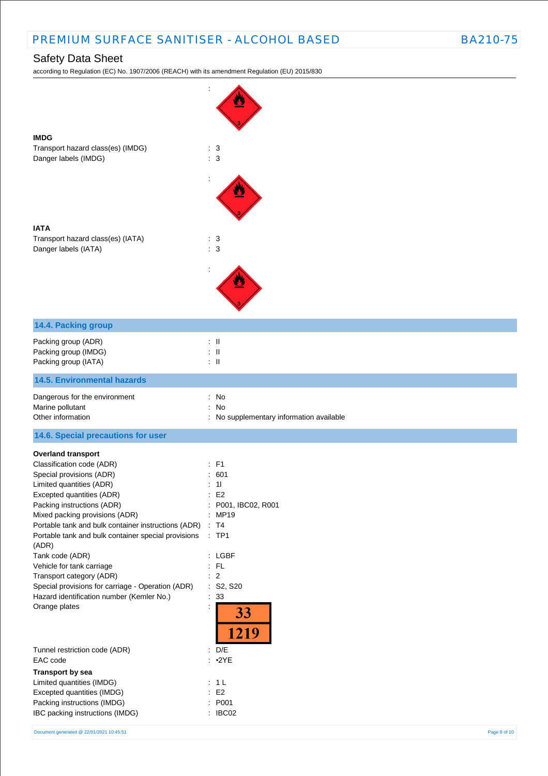according to Regulation (EC) No. 1907/2006 (REACH) with its amendment Regulation (EU) 2015/830

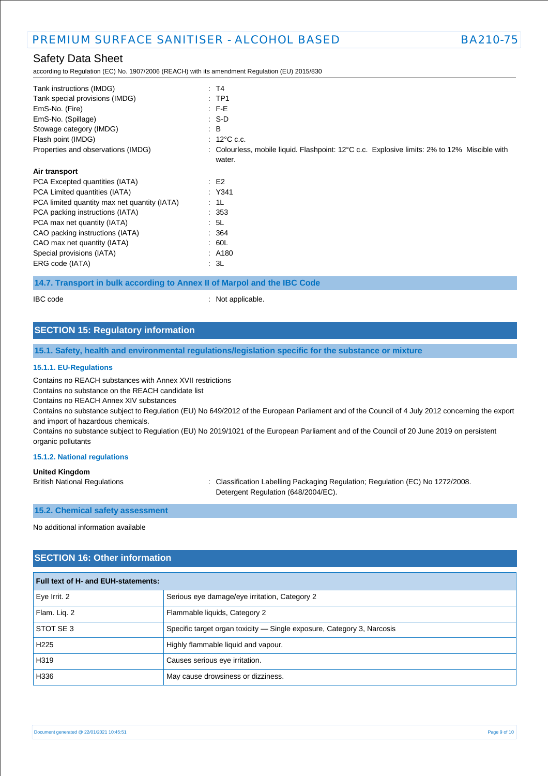according to Regulation (EC) No. 1907/2006 (REACH) with its amendment Regulation (EU) 2015/830

| : T4                                                                                         |
|----------------------------------------------------------------------------------------------|
| $:$ TP1                                                                                      |
| $:$ F-E                                                                                      |
| $\cdot$ S-D                                                                                  |
| $\therefore$ B                                                                               |
| $: 12^{\circ}$ C c.c.                                                                        |
| : Colourless, mobile liquid. Flashpoint: 12°C c.c. Explosive limits: 2% to 12% Miscible with |
| water.                                                                                       |
|                                                                                              |
| $\pm$ E2                                                                                     |
| $:$ Y341                                                                                     |
| : 1L                                                                                         |
| : 353                                                                                        |
| : 5L                                                                                         |
| : 364                                                                                        |
| .60L                                                                                         |
| : A180                                                                                       |
| : 3L                                                                                         |
|                                                                                              |

#### **14.7. Transport in bulk according to Annex II of Marpol and the IBC Code**

IBC code : Not applicable.

## **SECTION 15: Regulatory information**

#### **15.1. Safety, health and environmental regulations/legislation specific for the substance or mixture**

#### **15.1.1. EU-Regulations**

Contains no REACH substances with Annex XVII restrictions

Contains no substance on the REACH candidate list

Contains no REACH Annex XIV substances

Contains no substance subject to Regulation (EU) No 649/2012 of the European Parliament and of the Council of 4 July 2012 concerning the export and import of hazardous chemicals.

Contains no substance subject to Regulation (EU) No 2019/1021 of the European Parliament and of the Council of 20 June 2019 on persistent organic pollutants

#### **15.1.2. National regulations**

#### **United Kingdom**

British National Regulations : Classification Labelling Packaging Regulation; Regulation (EC) No 1272/2008. Detergent Regulation (648/2004/EC).

### **15.2. Chemical safety assessment**

No additional information available

### **SECTION 16: Other information**

| <b>Full text of H- and EUH-statements:</b> |                                                                        |  |
|--------------------------------------------|------------------------------------------------------------------------|--|
| Eye Irrit. 2                               | Serious eye damage/eye irritation, Category 2                          |  |
| Flam. Lig. 2                               | Flammable liquids, Category 2                                          |  |
| STOT SE 3                                  | Specific target organ toxicity — Single exposure, Category 3, Narcosis |  |
| H <sub>225</sub>                           | Highly flammable liquid and vapour.                                    |  |
| H319                                       | Causes serious eye irritation.                                         |  |
| H336                                       | May cause drowsiness or dizziness.                                     |  |